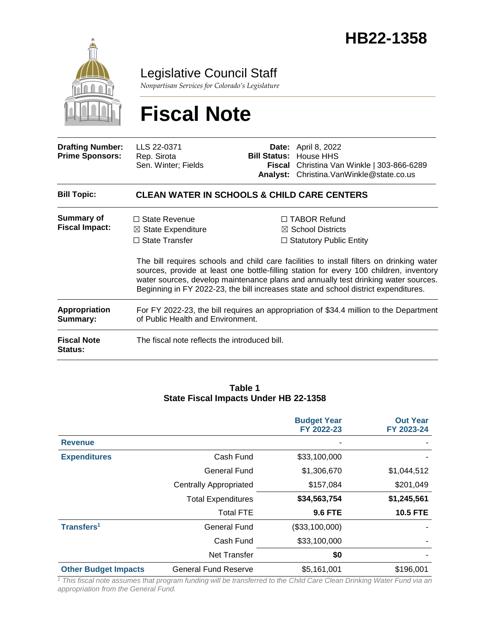

### Legislative Council Staff

*Nonpartisan Services for Colorado's Legislature*

# **Fiscal Note**

| <b>Drafting Number:</b><br><b>Prime Sponsors:</b> | LLS 22-0371<br>Rep. Sirota<br>Sen. Winter; Fields                                                                                                                                                                                                                                                                                                               | <b>Bill Status:</b><br>Fiscal<br>Analyst: | <b>Date:</b> April 8, 2022<br>House HHS<br>Christina Van Winkle   303-866-6289<br>Christina.VanWinkle@state.co.us |  |
|---------------------------------------------------|-----------------------------------------------------------------------------------------------------------------------------------------------------------------------------------------------------------------------------------------------------------------------------------------------------------------------------------------------------------------|-------------------------------------------|-------------------------------------------------------------------------------------------------------------------|--|
| <b>Bill Topic:</b>                                | <b>CLEAN WATER IN SCHOOLS &amp; CHILD CARE CENTERS</b>                                                                                                                                                                                                                                                                                                          |                                           |                                                                                                                   |  |
| Summary of<br><b>Fiscal Impact:</b>               | $\Box$ State Revenue<br>$\boxtimes$ State Expenditure<br>$\Box$ State Transfer                                                                                                                                                                                                                                                                                  |                                           | $\Box$ TABOR Refund<br>$\boxtimes$ School Districts<br>$\Box$ Statutory Public Entity                             |  |
|                                                   | The bill requires schools and child care facilities to install filters on drinking water<br>sources, provide at least one bottle-filling station for every 100 children, inventory<br>water sources, develop maintenance plans and annually test drinking water sources.<br>Beginning in FY 2022-23, the bill increases state and school district expenditures. |                                           |                                                                                                                   |  |
| <b>Appropriation</b><br>Summary:                  | For FY 2022-23, the bill requires an appropriation of \$34.4 million to the Department<br>of Public Health and Environment.                                                                                                                                                                                                                                     |                                           |                                                                                                                   |  |
| <b>Fiscal Note</b><br><b>Status:</b>              | The fiscal note reflects the introduced bill.                                                                                                                                                                                                                                                                                                                   |                                           |                                                                                                                   |  |

#### **Table 1 State Fiscal Impacts Under HB 22-1358**

|                             |                               | <b>Budget Year</b><br>FY 2022-23 | <b>Out Year</b><br>FY 2023-24 |
|-----------------------------|-------------------------------|----------------------------------|-------------------------------|
| <b>Revenue</b>              |                               |                                  |                               |
| <b>Expenditures</b>         | Cash Fund                     | \$33,100,000                     |                               |
|                             | <b>General Fund</b>           | \$1,306,670                      | \$1,044,512                   |
|                             | <b>Centrally Appropriated</b> | \$157,084                        | \$201,049                     |
|                             | <b>Total Expenditures</b>     | \$34,563,754                     | \$1,245,561                   |
|                             | <b>Total FTE</b>              | <b>9.6 FTE</b>                   | <b>10.5 FTE</b>               |
| Transfers <sup>1</sup>      | <b>General Fund</b>           | (\$33,100,000)                   |                               |
|                             | Cash Fund                     | \$33,100,000                     |                               |
|                             | <b>Net Transfer</b>           | \$0                              |                               |
| <b>Other Budget Impacts</b> | <b>General Fund Reserve</b>   | \$5,161,001                      | \$196,001                     |

<sup>1</sup> This fiscal note assumes that program funding will be transferred to the Child Care Clean Drinking Water Fund via an *appropriation from the General Fund.*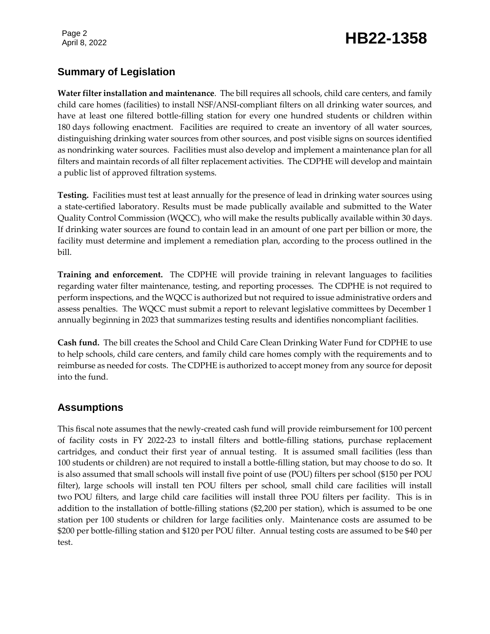## Page 2<br>April 8, 2022 **HB22-1358**

### **Summary of Legislation**

**Water filter installation and maintenance**. The bill requires all schools, child care centers, and family child care homes (facilities) to install NSF/ANSI-compliant filters on all drinking water sources, and have at least one filtered bottle-filling station for every one hundred students or children within 180 days following enactment. Facilities are required to create an inventory of all water sources, distinguishing drinking water sources from other sources, and post visible signs on sources identified as nondrinking water sources. Facilities must also develop and implement a maintenance plan for all filters and maintain records of all filter replacement activities. The CDPHE will develop and maintain a public list of approved filtration systems.

**Testing.** Facilities must test at least annually for the presence of lead in drinking water sources using a state-certified laboratory. Results must be made publically available and submitted to the Water Quality Control Commission (WQCC), who will make the results publically available within 30 days. If drinking water sources are found to contain lead in an amount of one part per billion or more, the facility must determine and implement a remediation plan, according to the process outlined in the bill.

**Training and enforcement.** The CDPHE will provide training in relevant languages to facilities regarding water filter maintenance, testing, and reporting processes. The CDPHE is not required to perform inspections, and the WQCC is authorized but not required to issue administrative orders and assess penalties. The WQCC must submit a report to relevant legislative committees by December 1 annually beginning in 2023 that summarizes testing results and identifies noncompliant facilities.

**Cash fund.** The bill creates the School and Child Care Clean Drinking Water Fund for CDPHE to use to help schools, child care centers, and family child care homes comply with the requirements and to reimburse as needed for costs. The CDPHE is authorized to accept money from any source for deposit into the fund.

### **Assumptions**

This fiscal note assumes that the newly-created cash fund will provide reimbursement for 100 percent of facility costs in FY 2022-23 to install filters and bottle-filling stations, purchase replacement cartridges, and conduct their first year of annual testing. It is assumed small facilities (less than 100 students or children) are not required to install a bottle-filling station, but may choose to do so. It is also assumed that small schools will install five point of use (POU) filters per school (\$150 per POU filter), large schools will install ten POU filters per school, small child care facilities will install two POU filters, and large child care facilities will install three POU filters per facility. This is in addition to the installation of bottle-filling stations (\$2,200 per station), which is assumed to be one station per 100 students or children for large facilities only. Maintenance costs are assumed to be \$200 per bottle-filling station and \$120 per POU filter. Annual testing costs are assumed to be \$40 per test.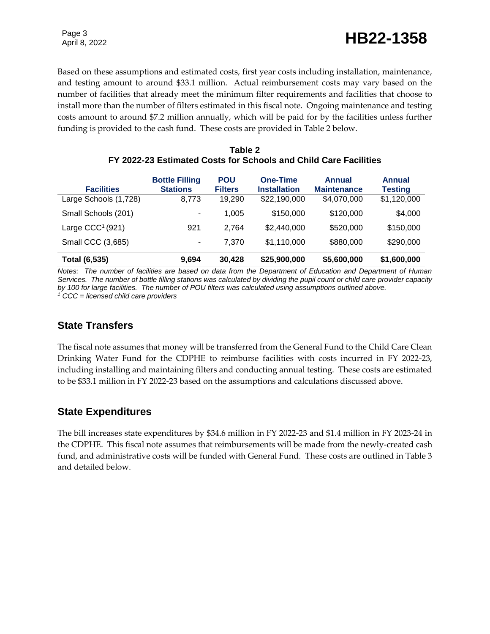Page 3

Page 3<br>April 8, 2022 **HB22-1358** 

Based on these assumptions and estimated costs, first year costs including installation, maintenance, and testing amount to around \$33.1 million. Actual reimbursement costs may vary based on the number of facilities that already meet the minimum filter requirements and facilities that choose to install more than the number of filters estimated in this fiscal note. Ongoing maintenance and testing costs amount to around \$7.2 million annually, which will be paid for by the facilities unless further funding is provided to the cash fund. These costs are provided in Table 2 below.

| Table 2                                                          |
|------------------------------------------------------------------|
| FY 2022-23 Estimated Costs for Schools and Child Care Facilities |

| <b>Facilities</b>     | <b>Bottle Filling</b><br><b>Stations</b> | <b>POU</b><br><b>Filters</b> | <b>One-Time</b><br><b>Installation</b> | <b>Annual</b><br><b>Maintenance</b> | <b>Annual</b><br><b>Testing</b> |
|-----------------------|------------------------------------------|------------------------------|----------------------------------------|-------------------------------------|---------------------------------|
| Large Schools (1,728) | 8,773                                    | 19,290                       | \$22,190,000                           | \$4,070,000                         | \$1,120,000                     |
| Small Schools (201)   | $\blacksquare$                           | 1.005                        | \$150,000                              | \$120,000                           | \$4,000                         |
| Large $CCC1(921)$     | 921                                      | 2.764                        | \$2,440,000                            | \$520,000                           | \$150,000                       |
| Small CCC (3,685)     | $\overline{\phantom{a}}$                 | 7.370                        | \$1,110,000                            | \$880,000                           | \$290,000                       |
| <b>Total (6,535)</b>  | 9,694                                    | 30,428                       | \$25,900,000                           | \$5,600,000                         | \$1,600,000                     |

*Notes: The number of facilities are based on data from the Department of Education and Department of Human Services. The number of bottle filling stations was calculated by dividing the pupil count or child care provider capacity by 100 for large facilities. The number of POU filters was calculated using assumptions outlined above. <sup>1</sup> CCC = licensed child care providers*

### **State Transfers**

The fiscal note assumes that money will be transferred from the General Fund to the Child Care Clean Drinking Water Fund for the CDPHE to reimburse facilities with costs incurred in FY 2022-23, including installing and maintaining filters and conducting annual testing. These costs are estimated to be \$33.1 million in FY 2022-23 based on the assumptions and calculations discussed above.

### **State Expenditures**

The bill increases state expenditures by \$34.6 million in FY 2022-23 and \$1.4 million in FY 2023-24 in the CDPHE. This fiscal note assumes that reimbursements will be made from the newly-created cash fund, and administrative costs will be funded with General Fund. These costs are outlined in Table 3 and detailed below.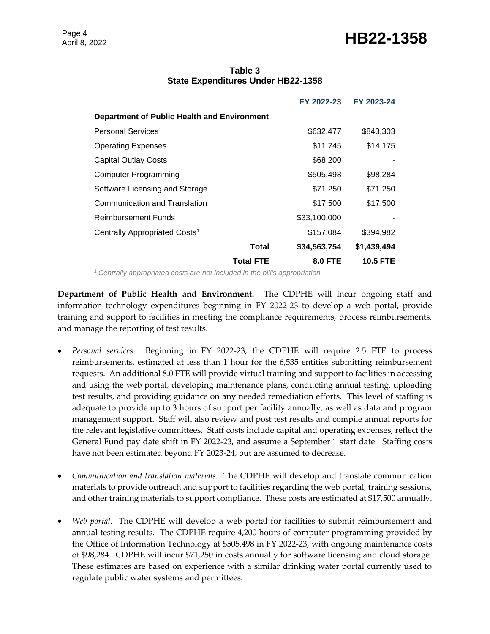### Page 4<br>April 8, 2022 **HB22-1358**

|                                                    |                  | FY 2022-23     | FY 2023-24      |
|----------------------------------------------------|------------------|----------------|-----------------|
| <b>Department of Public Health and Environment</b> |                  |                |                 |
| <b>Personal Services</b>                           |                  | \$632,477      | \$843,303       |
| <b>Operating Expenses</b>                          |                  | \$11,745       | \$14,175        |
| <b>Capital Outlay Costs</b>                        |                  | \$68,200       |                 |
| Computer Programming                               |                  | \$505,498      | \$98,284        |
| Software Licensing and Storage                     |                  | \$71,250       | \$71,250        |
| Communication and Translation                      |                  | \$17,500       | \$17,500        |
| <b>Reimbursement Funds</b>                         |                  | \$33,100,000   |                 |
| Centrally Appropriated Costs <sup>1</sup>          |                  | \$157,084      | \$394,982       |
|                                                    | Total            | \$34,563,754   | \$1,439,494     |
|                                                    | <b>Total FTE</b> | <b>8.0 FTE</b> | <b>10.5 FTE</b> |

#### **Table 3 State Expenditures Under HB22-1358**

*<sup>1</sup>Centrally appropriated costs are not included in the bill's appropriation.*

**Department of Public Health and Environment.** The CDPHE will incur ongoing staff and information technology expenditures beginning in FY 2022-23 to develop a web portal, provide training and support to facilities in meeting the compliance requirements, process reimbursements, and manage the reporting of test results.

- *Personal services.* Beginning in FY 2022-23, the CDPHE will require 2.5 FTE to process reimbursements, estimated at less than 1 hour for the 6,535 entities submitting reimbursement requests. An additional 8.0 FTE will provide virtual training and support to facilities in accessing and using the web portal, developing maintenance plans, conducting annual testing, uploading test results, and providing guidance on any needed remediation efforts. This level of staffing is adequate to provide up to 3 hours of support per facility annually, as well as data and program management support. Staff will also review and post test results and compile annual reports for the relevant legislative committees. Staff costs include capital and operating expenses, reflect the General Fund pay date shift in FY 2022-23, and assume a September 1 start date. Staffing costs have not been estimated beyond FY 2023-24, but are assumed to decrease.
- *Communication and translation materials.* The CDPHE will develop and translate communication materials to provide outreach and support to facilities regarding the web portal, training sessions, and other training materials to support compliance. These costs are estimated at \$17,500 annually.
- *Web portal*. The CDPHE will develop a web portal for facilities to submit reimbursement and annual testing results. The CDPHE require 4,200 hours of computer programming provided by the Office of Information Technology at \$505,498 in FY 2022-23, with ongoing maintenance costs of \$98,284. CDPHE will incur \$71,250 in costs annually for software licensing and cloud storage. These estimates are based on experience with a similar drinking water portal currently used to regulate public water systems and permittees.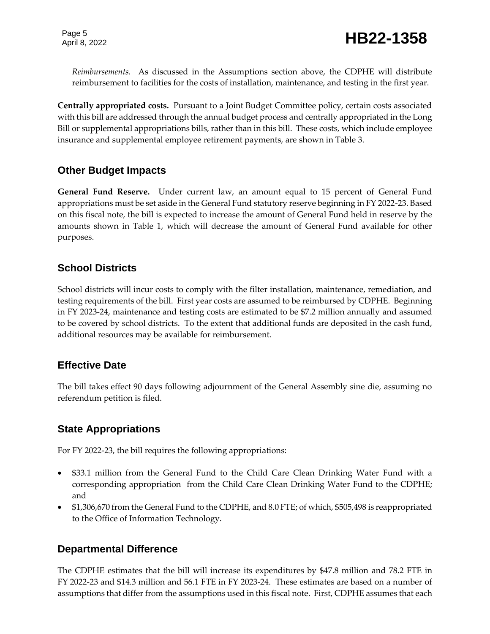*Reimbursements.* As discussed in the Assumptions section above, the CDPHE will distribute reimbursement to facilities for the costs of installation, maintenance, and testing in the first year.

**Centrally appropriated costs.** Pursuant to a Joint Budget Committee policy, certain costs associated with this bill are addressed through the annual budget process and centrally appropriated in the Long Bill or supplemental appropriations bills, rather than in this bill. These costs, which include employee insurance and supplemental employee retirement payments, are shown in Table 3.

### **Other Budget Impacts**

**General Fund Reserve.** Under current law, an amount equal to 15 percent of General Fund appropriations must be set aside in the General Fund statutory reserve beginning in FY 2022-23. Based on this fiscal note, the bill is expected to increase the amount of General Fund held in reserve by the amounts shown in Table 1, which will decrease the amount of General Fund available for other purposes.

### **School Districts**

School districts will incur costs to comply with the filter installation, maintenance, remediation, and testing requirements of the bill. First year costs are assumed to be reimbursed by CDPHE. Beginning in FY 2023-24, maintenance and testing costs are estimated to be \$7.2 million annually and assumed to be covered by school districts. To the extent that additional funds are deposited in the cash fund, additional resources may be available for reimbursement.

### **Effective Date**

The bill takes effect 90 days following adjournment of the General Assembly sine die, assuming no referendum petition is filed.

### **State Appropriations**

For FY 2022-23, the bill requires the following appropriations:

- \$33.1 million from the General Fund to the Child Care Clean Drinking Water Fund with a corresponding appropriation from the Child Care Clean Drinking Water Fund to the CDPHE; and
- \$1,306,670 from the General Fund to the CDPHE, and 8.0 FTE; of which, \$505,498 is reappropriated to the Office of Information Technology.

### **Departmental Difference**

The CDPHE estimates that the bill will increase its expenditures by \$47.8 million and 78.2 FTE in FY 2022-23 and \$14.3 million and 56.1 FTE in FY 2023-24. These estimates are based on a number of assumptions that differ from the assumptions used in this fiscal note. First, CDPHE assumes that each